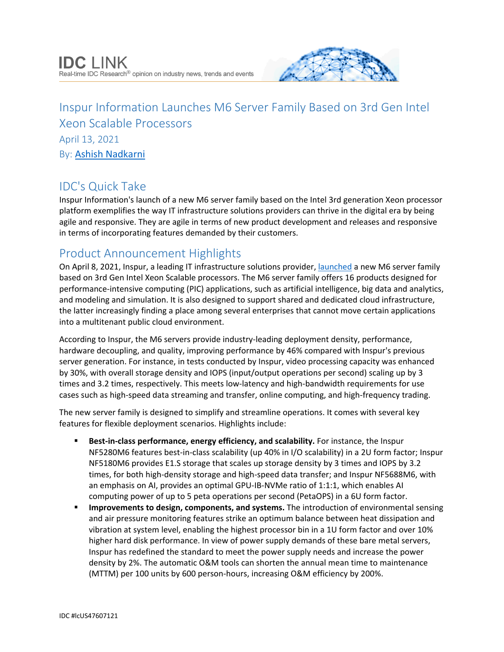

# Inspur Information Launches M6 Server Family Based on 3rd Gen Intel Xeon Scalable Processors April 13, 2021 By: [Ashish Nadkarni](http://www.idc.com/getdoc.jsp?containerId=PRF003977)

# IDC's Quick Take

Inspur Information's launch of a new M6 server family based on the Intel 3rd generation Xeon processor platform exemplifies the way IT infrastructure solutions providers can thrive in the digital era by being agile and responsive. They are agile in terms of new product development and releases and responsive in terms of incorporating features demanded by their customers.

## Product Announcement Highlights

On April 8, 2021, Inspur, a leading IT infrastructure solutions provider, [launched](https://en.inspur.com/en/news-2021/2552467/index.html) a new M6 server family based on 3rd Gen Intel Xeon Scalable processors. The M6 server family offers 16 products designed for performance-intensive computing (PIC) applications, such as artificial intelligence, big data and analytics, and modeling and simulation. It is also designed to support shared and dedicated cloud infrastructure, the latter increasingly finding a place among several enterprises that cannot move certain applications into a multitenant public cloud environment.

According to Inspur, the M6 servers provide industry-leading deployment density, performance, hardware decoupling, and quality, improving performance by 46% compared with Inspur's previous server generation. For instance, in tests conducted by Inspur, video processing capacity was enhanced by 30%, with overall storage density and IOPS (input/output operations per second) scaling up by 3 times and 3.2 times, respectively. This meets low-latency and high-bandwidth requirements for use cases such as high-speed data streaming and transfer, online computing, and high-frequency trading.

The new server family is designed to simplify and streamline operations. It comes with several key features for flexible deployment scenarios. Highlights include:

- **Best-in-class performance, energy efficiency, and scalability.** For instance, the Inspur NF5280M6 features best-in-class scalability (up 40% in I/O scalability) in a 2U form factor; Inspur NF5180M6 provides E1.S storage that scales up storage density by 3 times and IOPS by 3.2 times, for both high-density storage and high-speed data transfer; and Inspur NF5688M6, with an emphasis on AI, provides an optimal GPU-IB-NVMe ratio of 1:1:1, which enables AI computing power of up to 5 peta operations per second (PetaOPS) in a 6U form factor.
- **Improvements to design, components, and systems.** The introduction of environmental sensing and air pressure monitoring features strike an optimum balance between heat dissipation and vibration at system level, enabling the highest processor bin in a 1U form factor and over 10% higher hard disk performance. In view of power supply demands of these bare metal servers, Inspur has redefined the standard to meet the power supply needs and increase the power density by 2%. The automatic O&M tools can shorten the annual mean time to maintenance (MTTM) per 100 units by 600 person-hours, increasing O&M efficiency by 200%.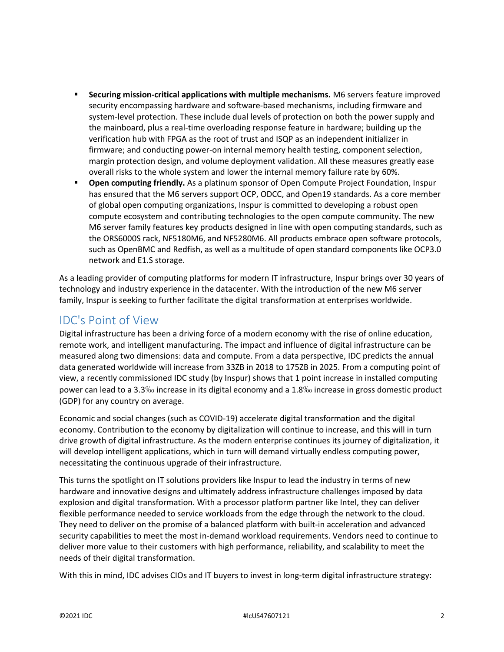- **Securing mission-critical applications with multiple mechanisms.** M6 servers feature improved security encompassing hardware and software-based mechanisms, including firmware and system-level protection. These include dual levels of protection on both the power supply and the mainboard, plus a real-time overloading response feature in hardware; building up the verification hub with FPGA as the root of trust and ISQP as an independent initializer in firmware; and conducting power-on internal memory health testing, component selection, margin protection design, and volume deployment validation. All these measures greatly ease overall risks to the whole system and lower the internal memory failure rate by 60%.
- **Open computing friendly.** As a platinum sponsor of Open Compute Project Foundation, Inspur has ensured that the M6 servers support OCP, ODCC, and Open19 standards. As a core member of global open computing organizations, Inspur is committed to developing a robust open compute ecosystem and contributing technologies to the open compute community. The new M6 server family features key products designed in line with open computing standards, such as the ORS6000S rack, NF5180M6, and NF5280M6. All products embrace open software protocols, such as OpenBMC and Redfish, as well as a multitude of open standard components like OCP3.0 network and E1.S storage.

As a leading provider of computing platforms for modern IT infrastructure, Inspur brings over 30 years of technology and industry experience in the datacenter. With the introduction of the new M6 server family, Inspur is seeking to further facilitate the digital transformation at enterprises worldwide.

### IDC's Point of View

Digital infrastructure has been a driving force of a modern economy with the rise of online education, remote work, and intelligent manufacturing. The impact and influence of digital infrastructure can be measured along two dimensions: data and compute. From a data perspective, IDC predicts the annual data generated worldwide will increase from 33ZB in 2018 to 175ZB in 2025. From a computing point of view, a recently commissioned IDC study (by Inspur) shows that 1 point increase in installed computing power can lead to a 3.3‰ increase in its digital economy and a 1.8‰ increase in gross domestic product (GDP) for any country on average.

Economic and social changes (such as COVID-19) accelerate digital transformation and the digital economy. Contribution to the economy by digitalization will continue to increase, and this will in turn drive growth of digital infrastructure. As the modern enterprise continues its journey of digitalization, it will develop intelligent applications, which in turn will demand virtually endless computing power, necessitating the continuous upgrade of their infrastructure.

This turns the spotlight on IT solutions providers like Inspur to lead the industry in terms of new hardware and innovative designs and ultimately address infrastructure challenges imposed by data explosion and digital transformation. With a processor platform partner like Intel, they can deliver flexible performance needed to service workloads from the edge through the network to the cloud. They need to deliver on the promise of a balanced platform with built-in acceleration and advanced security capabilities to meet the most in-demand workload requirements. Vendors need to continue to deliver more value to their customers with high performance, reliability, and scalability to meet the needs of their digital transformation.

With this in mind, IDC advises CIOs and IT buyers to invest in long-term digital infrastructure strategy: